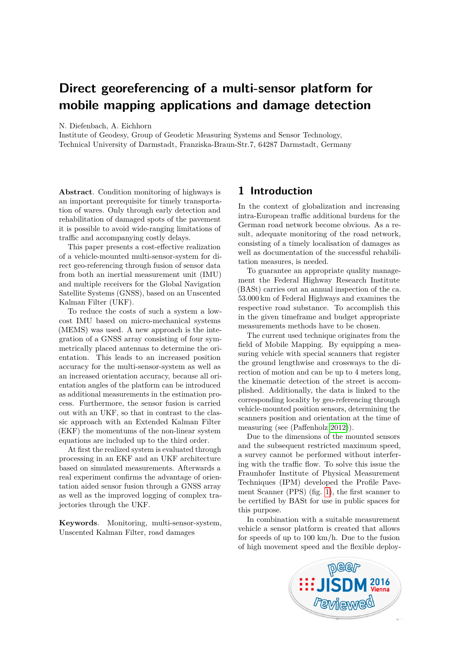# **Direct georeferencing of a multi-sensor platform for mobile mapping applications and damage detection**

N. Diefenbach, A. Eichhorn

Institute of Geodesy, Group of Geodetic Measuring Systems and Sensor Technology, Technical University of Darmstadt, Franziska-Braun-Str.7, 64287 Darmstadt, Germany

**Abstract**. Condition monitoring of highways is an important prerequisite for timely transportation of wares. Only through early detection and rehabilitation of damaged spots of the pavement it is possible to avoid wide-ranging limitations of traffic and accompanying costly delays.

This paper presents a cost-effective realization of a vehicle-mounted multi-sensor-system for direct geo-referencing through fusion of sensor data from both an inertial measurement unit (IMU) and multiple receivers for the Global Navigation Satellite Systems (GNSS), based on an Unscented Kalman Filter (UKF).

To reduce the costs of such a system a lowcost IMU based on micro-mechanical systems (MEMS) was used. A new approach is the integration of a GNSS array consisting of four symmetrically placed antennas to determine the orientation. This leads to an increased position accuracy for the multi-sensor-system as well as an increased orientation accuracy, because all orientation angles of the platform can be introduced as additional measurements in the estimation process. Furthermore, the sensor fusion is carried out with an UKF, so that in contrast to the classic approach with an Extended Kalman Filter (EKF) the momentums of the non-linear system equations are included up to the third order.

At first the realized system is evaluated through processing in an EKF and an UKF architecture based on simulated measurements. Afterwards a real experiment confirms the advantage of orientation aided sensor fusion through a GNSS array as well as the improved logging of complex trajectories through the UKF.

**Keywords**. Monitoring, multi-sensor-system, Unscented Kalman Filter, road damages

# **1 Introduction**

In the context of globalization and increasing intra-European traffic additional burdens for the German road network become obvious. As a result, adequate monitoring of the road network, consisting of a timely localisation of damages as well as documentation of the successful rehabilitation measures, is needed.

To guarantee an appropriate quality management the Federal Highway Research Institute (BASt) carries out an annual inspection of the ca. 53.000 km of Federal Highways and examines the respective road substance. To accomplish this in the given timeframe and budget appropriate measurements methods have to be chosen.

The current used technique originates from the field of Mobile Mapping. By equipping a measuring vehicle with special scanners that register the ground lengthwise and crossways to the direction of motion and can be up to 4 meters long, the kinematic detection of the street is accomplished. Additionally, the data is linked to the corresponding locality by geo-referencing through vehicle-mounted position sensors, determining the scanners position and orientation at the time of measuring (see (Paffenholz [2012\)](#page-8-0)).

Due to the dimensions of the mounted sensors and the subsequent restricted maximum speed, a survey cannot be performed without interfering with the traffic flow. To solve this issue the Fraunhofer Institute of Physical Measurement Techniques (IPM) developed the Profile Pavement Scanner (PPS) (fig. [1\)](#page-1-0), the first scanner to be certified by BASt for use in public spaces for this purpose.

In combination with a suitable measurement vehicle a sensor platform is created that allows for speeds of up to 100 km/h. Due to the fusion of high movement speed and the flexible deploy-

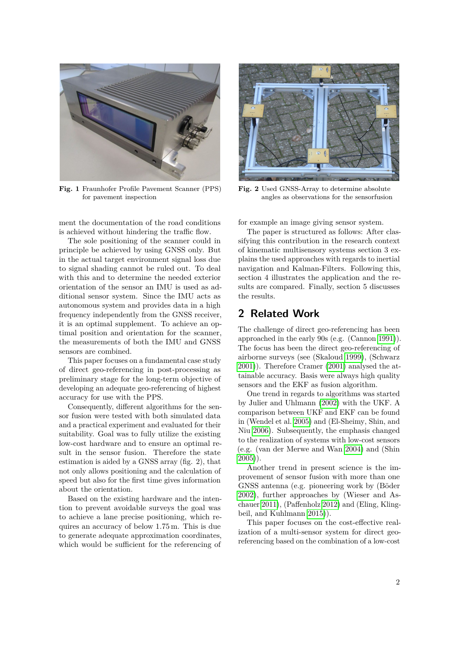<span id="page-1-0"></span>

**Fig. 1** Fraunhofer Profile Pavement Scanner (PPS) for pavement inspection

ment the documentation of the road conditions is achieved without hindering the traffic flow.

The sole positioning of the scanner could in principle be achieved by using GNSS only. But in the actual target environment signal loss due to signal shading cannot be ruled out. To deal with this and to determine the needed exterior orientation of the sensor an IMU is used as additional sensor system. Since the IMU acts as autonomous system and provides data in a high frequency independently from the GNSS receiver, it is an optimal supplement. To achieve an optimal position and orientation for the scanner, the measurements of both the IMU and GNSS sensors are combined.

This paper focuses on a fundamental case study of direct geo-referencing in post-processing as preliminary stage for the long-term objective of developing an adequate geo-referencing of highest accuracy for use with the PPS.

Consequently, different algorithms for the sensor fusion were tested with both simulated data and a practical experiment and evaluated for their suitability. Goal was to fully utilize the existing low-cost hardware and to ensure an optimal result in the sensor fusion. Therefore the state estimation is aided by a GNSS array (fig. 2), that not only allows positioning and the calculation of speed but also for the first time gives information about the orientation.

Based on the existing hardware and the intention to prevent avoidable surveys the goal was to achieve a lane precise positioning, which requires an accuracy of below 1.75 m. This is due to generate adequate approximation coordinates, which would be sufficient for the referencing of



**Fig. 2** Used GNSS-Array to determine absolute angles as observations for the sensorfusion

for example an image giving sensor system.

The paper is structured as follows: After classifying this contribution in the research context of kinematic multisensory systems section 3 explains the used approaches with regards to inertial navigation and Kalman-Filters. Following this, section 4 illustrates the application and the results are compared. Finally, section 5 discusses the results.

## **2 Related Work**

The challenge of direct geo-referencing has been approached in the early 90s (e.g. (Cannon [1991\)](#page-7-0)). The focus has been the direct geo-referencing of airborne surveys (see (Skaloud [1999\)](#page-8-1), (Schwarz [2001\)](#page-8-2)). Therefore Cramer [\(2001\)](#page-7-1) analysed the attainable accuracy. Basis were always high quality sensors and the EKF as fusion algorithm.

One trend in regards to algorithms was started by Julier and Uhlmann [\(2002\)](#page-8-3) with the UKF. A comparison between UKF and EKF can be found in (Wendel et al. [2005\)](#page-8-4) and (El-Sheimy, Shin, and Niu [2006\)](#page-8-5). Subsequently, the emphasis changed to the realization of systems with low-cost sensors (e.g. (van der Merwe and Wan [2004\)](#page-8-6) and (Shin [2005\)](#page-8-7)).

Another trend in present science is the improvement of sensor fusion with more than one GNSS antenna (e.g. pioneering work by (Böder [2002\)](#page-7-2), further approaches by (Wieser and Aschauer [2011\)](#page-8-8), (Paffenholz [2012\)](#page-8-0) and (Eling, Klingbeil, and Kuhlmann [2015\)](#page-8-9)).

This paper focuses on the cost-effective realization of a multi-sensor system for direct georeferencing based on the combination of a low-cost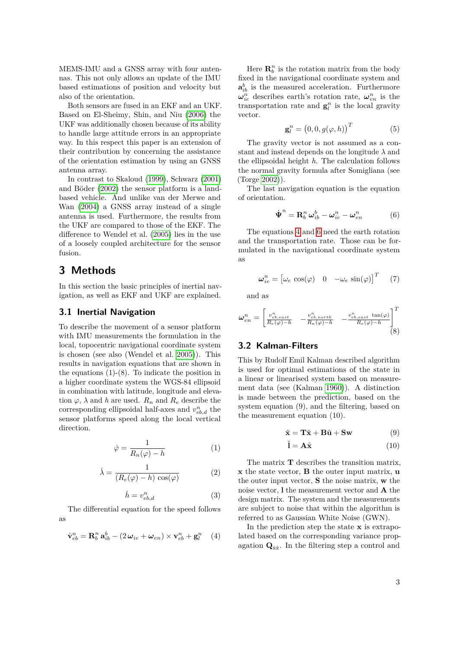MEMS-IMU and a GNSS array with four antennas. This not only allows an update of the IMU based estimations of position and velocity but also of the orientation.

Both sensors are fused in an EKF and an UKF. Based on El-Sheimy, Shin, and Niu [\(2006\)](#page-8-5) the UKF was additionally chosen because of its ability to handle large attitude errors in an appropriate way. In this respect this paper is an extension of their contribution by concerning the assistance of the orientation estimation by using an GNSS antenna array.

In contrast to Skaloud [\(1999\)](#page-8-1), Schwarz [\(2001\)](#page-8-2) and Böder [\(2002\)](#page-7-2) the sensor platform is a landbased vehicle. And unlike van der Merwe and Wan [\(2004\)](#page-8-6) a GNSS array instead of a single antenna is used. Furthermore, the results from the UKF are compared to those of the EKF. The difference to Wendel et al. [\(2005\)](#page-8-4) lies in the use of a loosely coupled architecture for the sensor fusion.

# **3 Methods**

In this section the basic principles of inertial navigation, as well as EKF and UKF are explained.

### **3.1 Inertial Navigation**

To describe the movement of a sensor platform with IMU measurements the formulation in the local, topocentric navigational coordinate system is chosen (see also (Wendel et al. [2005\)](#page-8-4)). This results in navigation equations that are shown in the equations (1)-(8). To indicate the position in a higher coordinate system the WGS-84 ellipsoid in combination with latitude, longitude and elevation  $\varphi$ ,  $\lambda$  and *h* are used.  $R_n$  and  $R_e$  describe the corresponding ellipsoidal half-axes and  $v_{eb,d}^n$  the sensor platforms speed along the local vertical direction.

$$
\dot{\varphi} = \frac{1}{R_n(\varphi) - h} \tag{1}
$$

$$
\dot{\lambda} = \frac{1}{(R_e(\varphi) - h)\cos(\varphi)}\tag{2}
$$

$$
\dot{h} = v_{eb,d}^n \tag{3}
$$

The differential equation for the speed follows as

<span id="page-2-0"></span>
$$
\dot{\mathbf{v}}_{eb}^{n} = \mathbf{R}_{b}^{n} \mathbf{a}_{ib}^{b} - (2\,\omega_{ie} + \omega_{en}) \times \mathbf{v}_{eb}^{n} + \mathbf{g}_{l}^{n} \quad (4)
$$

Here  $\mathbf{R}_{b}^{n}$  is the rotation matrix from the body fixed in the navigational coordinate system and  $\mathbf{a}_{ib}^b$  is the measured acceleration. Furthermore  $\omega_{ie}^n$  describes earth's rotation rate,  $\omega_{en}^n$  is the transportation rate and  $\mathbf{g}_l^n$  is the local gravity vector.

$$
\mathbf{g}_l^n = (0, 0, g(\varphi, h))^T \tag{5}
$$

The gravity vector is not assumed as a constant and instead depends on the longitude *λ* and the ellipsoidal height *h*. The calculation follows the normal gravity formula after Somigliana (see (Torge [2002\)](#page-8-10)).

The last navigation equation is the equation of orientation.

<span id="page-2-1"></span>
$$
\dot{\boldsymbol{\Psi}}^{n} = \mathbf{R}_{b}^{n} \boldsymbol{\omega}_{ib}^{b} - \boldsymbol{\omega}_{ie}^{n} - \boldsymbol{\omega}_{en}^{n}
$$
 (6)

The equations [4](#page-2-0) and [6](#page-2-1) need the earth rotation and the transportation rate. Those can be formulated in the navigational coordinate system as

$$
\boldsymbol{\omega}_{ie}^n = \begin{bmatrix} \omega_e \cos(\varphi) & 0 & -\omega_e \sin(\varphi) \end{bmatrix}^T \qquad (7)
$$

and as

$$
\omega_{en}^{n} = \begin{bmatrix} v_{eb, east}^{n} & -\frac{v_{eb, north}^{n}}{R_{e}(\varphi) - h} & -\frac{v_{eb, east}^{n} \tan(\varphi)}{R_{e}(\varphi) - h} \end{bmatrix}^{T}
$$
\n(8)

### **3.2 Kalman-Filters**

This by Rudolf Emil Kalman described algorithm is used for optimal estimations of the state in a linear or linearised system based on measurement data (see (Kalman [1960\)](#page-8-11)). A distinction is made between the prediction, based on the system equation (9), and the filtering, based on the measurement equation (10).

$$
\tilde{\mathbf{x}} = \mathbf{T}\tilde{\mathbf{x}} + \mathbf{B}\tilde{\mathbf{u}} + \mathbf{S}\mathbf{w} \tag{9}
$$

$$
\tilde{\mathbf{l}} = \mathbf{A}\tilde{\mathbf{x}} \tag{10}
$$

The matrix **T** describes the transition matrix, **x** the state vector, **B** the outer input matrix, **u** the outer input vector, **S** the noise matrix, **w** the noise vector, **l** the measurement vector and **A** the design matrix. The system and the measurements are subject to noise that within the algorithm is referred to as Gaussian White Noise (GWN).

In the prediction step the state **x** is extrapolated based on the corresponding variance propagation  $\mathbf{Q}_{\hat{\mathbf{x}}\hat{\mathbf{x}}}$ . In the filtering step a control and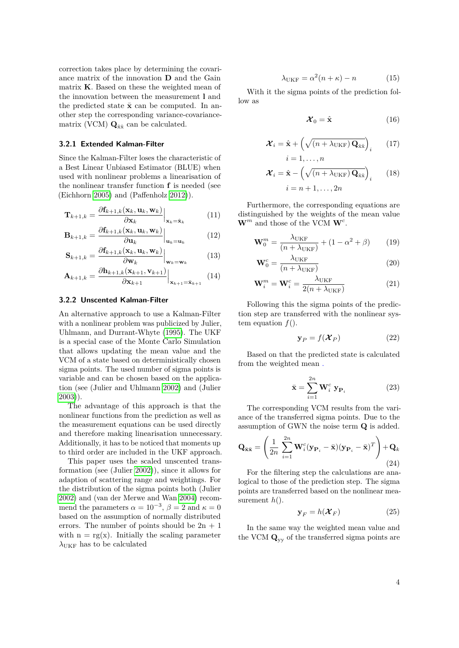correction takes place by determining the covariance matrix of the innovation **D** and the Gain matrix **K**. Based on these the weighted mean of the innovation between the measurement **l** and the predicted state  $\bar{\mathbf{x}}$  can be computed. In another step the corresponding variance-covariancematrix (VCM)  $\mathbf{Q}_{\hat{\mathbf{x}}\hat{\mathbf{x}}}$  can be calculated.

#### **3.2.1 Extended Kalman-Filter**

Since the Kalman-Filter loses the characteristic of a Best Linear Unbiased Estimator (BLUE) when used with nonlinear problems a linearisation of the nonlinear transfer function **f** is needed (see (Eichhorn [2005\)](#page-8-12) and (Paffenholz [2012\)](#page-8-0)).

$$
\mathbf{T}_{k+1,k} = \frac{\partial \mathbf{f}_{k+1,k}(\mathbf{x}_k, \mathbf{u}_k, \mathbf{w}_k)}{\partial \mathbf{x}_k}\Big|_{\mathbf{x}_k = \hat{\mathbf{x}}_k}
$$
(11)

$$
\mathbf{B}_{k+1,k} = \frac{\partial \mathbf{f}_{k+1,k}(\mathbf{x}_k, \mathbf{u}_k, \mathbf{w}_k)}{\partial \mathbf{u}_k}\Big|_{\mathbf{u}_k = \mathbf{u}_k}
$$
(12)

$$
\mathbf{S}_{k+1,k} = \frac{\partial \mathbf{f}_{k+1,k}(\mathbf{x}_k, \mathbf{u}_k, \mathbf{w}_k)}{\partial \mathbf{w}_k}\Big|_{\mathbf{w}_k = \mathbf{w}_k}
$$
(13)

$$
\mathbf{A}_{k+1,k} = \frac{\partial \mathbf{h}_{k+1,k}(\mathbf{x}_{k+1}, \mathbf{v}_{k+1})}{\partial \mathbf{x}_{k+1}} \Big|_{\mathbf{x}_{k+1} = \bar{\mathbf{x}}_{k+1}} \quad (14)
$$

#### **3.2.2 Unscented Kalman-Filter**

An alternative approach to use a Kalman-Filter with a nonlinear problem was publicized by Julier, Uhlmann, and Durrant-Whyte [\(1995\)](#page-8-13). The UKF is a special case of the Monte Carlo Simulation that allows updating the mean value and the VCM of a state based on deterministically chosen sigma points. The used number of sigma points is variable and can be chosen based on the application (see (Julier and Uhlmann [2002\)](#page-8-3) and (Julier [2003\)](#page-8-14)).

The advantage of this approach is that the nonlinear functions from the prediction as well as the measurement equations can be used directly and therefore making linearisation unnecessary. Additionally, it has to be noticed that moments up to third order are included in the UKF approach.

This paper uses the scaled unscented transformation (see (Julier [2002\)](#page-8-15)), since it allows for adaption of scattering range and weightings. For the distribution of the sigma points both (Julier [2002\)](#page-8-15) and (van der Merwe and Wan [2004\)](#page-8-6) recommend the parameters  $\alpha = 10^{-3}$ ,  $\beta = 2$  and  $\kappa = 0$ based on the assumption of normally distributed errors. The number of points should be  $2n + 1$ with  $n = rg(x)$ . Initially the scaling parameter  $\lambda$ <sub>UKF</sub> has to be calculated

$$
\lambda_{\text{UKF}} = \alpha^2 (n + \kappa) - n \tag{15}
$$

With it the sigma points of the prediction follow as

$$
\mathcal{X}_0 = \hat{\mathbf{x}} \tag{16}
$$

$$
\mathcal{X}_{i} = \hat{\mathbf{x}} + \left(\sqrt{(n + \lambda_{\text{UKF}}) \mathbf{Q}_{\hat{\mathbf{x}}\hat{\mathbf{x}}}}\right)_{i} \qquad (17)
$$

$$
i = 1, \dots, n
$$

$$
\mathcal{X}_{i} = \hat{\mathbf{x}} - \left(\sqrt{\left(n + \lambda_{\text{UKF}}\right) \mathbf{Q}_{\hat{\mathbf{x}}\hat{\mathbf{x}}}}\right)_{i} \qquad (18)
$$

$$
i = n + 1, \dots, 2n
$$

Furthermore, the corresponding equations are distinguished by the weights of the mean value  $\mathbf{W}^m$  and those of the VCM  $\mathbf{W}^c$ .

$$
\mathbf{W}_0^m = \frac{\lambda_{\text{UKF}}}{(n + \lambda_{\text{UKF}})} + (1 - \alpha^2 + \beta) \tag{19}
$$

$$
\mathbf{W}_0^c = \frac{\lambda_{\text{UKF}}}{(n + \lambda_{\text{UKF}})}\tag{20}
$$

$$
\mathbf{W}_i^m = \mathbf{W}_i^c = \frac{\lambda_{\text{UKF}}}{2(n + \lambda_{\text{UKF}})}
$$
(21)

Following this the sigma points of the prediction step are transferred with the nonlinear system equation  $f(.)$ .

$$
\mathbf{y}_P = f(\mathcal{X}_P) \tag{22}
$$

Based on that the predicted state is calculated from the weighted mean .

$$
\bar{\mathbf{x}} = \sum_{i=1}^{2n} \mathbf{W}_i^c \mathbf{y}_{\mathbf{P}_i}
$$
 (23)

The corresponding VCM results from the variance of the transferred sigma points. Due to the assumption of GWN the noise term **Q** is added.

$$
\mathbf{Q}_{\bar{\mathbf{x}}\bar{\mathbf{x}}} = \left(\frac{1}{2n} \sum_{i=1}^{2n} \mathbf{W}_i^c (\mathbf{y}_{\mathbf{P}_i} - \bar{\mathbf{x}}) (\mathbf{y}_{\mathbf{P}_i} - \bar{\mathbf{x}})^T\right) + \mathbf{Q}_k
$$
\n(24)

For the filtering step the calculations are analogical to those of the prediction step. The sigma points are transferred based on the nonlinear measurement *h*().

$$
\mathbf{y}_F = h(\mathcal{X}_F) \tag{25}
$$

In the same way the weighted mean value and the VCM **Q**yy of the transferred sigma points are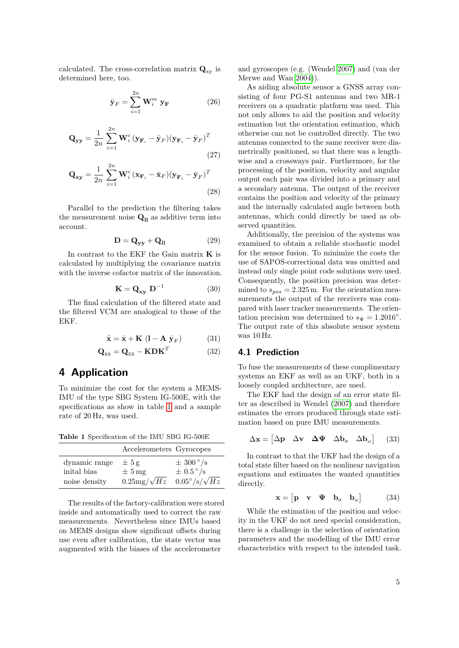calculated. The cross-correlation matrix  $\mathbf{Q}_{\text{xy}}$  is determined here, too.

$$
\bar{\mathbf{y}}_F = \sum_{i=1}^{2n} \mathbf{W}_i^m \mathbf{y}_F \tag{26}
$$

$$
\mathbf{Q}_{\mathbf{y}\mathbf{y}} = \frac{1}{2n} \sum_{i=1}^{2n} \mathbf{W}_i^c (\mathbf{y}_{\mathbf{F}_i} - \bar{\mathbf{y}}_F) (\mathbf{y}_{\mathbf{F}_i} - \bar{\mathbf{y}}_F)^T
$$
\n(27)

$$
\mathbf{Q}_{\mathbf{xy}} = \frac{1}{2n} \sum_{i=1}^{2n} \mathbf{W}_i^c (\mathbf{x}_{\mathbf{F}_i} - \bar{\mathbf{x}}_F) (\mathbf{y}_{\mathbf{F}_i} - \bar{\mathbf{y}}_F)^T
$$
\n(28)

Parallel to the prediction the filtering takes the measurement noise  $\mathbf{Q}_{\mathbf{I}}$  as additive term into account.

$$
\mathbf{D} = \mathbf{Q}_{\mathbf{y}\mathbf{y}} + \mathbf{Q}_{\mathbf{ll}} \tag{29}
$$

In contrast to the EKF the Gain matrix **K** is calculated by multiplying the covariance matrix with the inverse cofactor matrix of the innovation.

$$
\mathbf{K} = \mathbf{Q}_{\mathbf{xy}} \ \mathbf{D}^{-1} \tag{30}
$$

The final calculation of the filtered state and the filtered VCM are analogical to those of the EKF.

$$
\hat{\mathbf{x}} = \bar{\mathbf{x}} + \mathbf{K} \left( \mathbf{l} - \mathbf{A} \bar{\mathbf{y}}_F \right) \tag{31}
$$

$$
\mathbf{Q}_{\hat{\mathbf{x}}\hat{\mathbf{x}}} = \mathbf{Q}_{\bar{\mathbf{x}}\bar{\mathbf{x}}} - \mathbf{K} \mathbf{D} \mathbf{K}^T
$$
 (32)

# **4 Application**

To minimize the cost for the system a MEMS-IMU of the type SBG System IG-500E, with the specifications as show in table [1](#page-4-0) and a sample rate of 20 Hz, was used.

<span id="page-4-0"></span>**Table 1** Specification of the IMU SBG IG-500E

|               | Accelerometers Gyrocopes |                                 |
|---------------|--------------------------|---------------------------------|
| dynamic range | $\pm 5$ g                | $\pm$ 300 $^{\circ}/\mathrm{s}$ |
| inital bias   | $\pm 5$ mg               | $\pm$ 0.5 $\degree$ /s          |
| noise density | $0.25mg/\sqrt{Hz}$       | $0.05^{\circ}/s/\sqrt{Hz}$      |

The results of the factory-calibration were stored inside and automatically used to correct the raw measurements. Nevertheless since IMUs based on MEMS designs show significant offsets during use even after calibration, the state vector was augmented with the biases of the accelerometer

and gyroscopes (e.g. (Wendel [2007\)](#page-8-16) and (van der Merwe and Wan [2004\)](#page-8-6)).

As aiding absolute sensor a GNSS array consisting of four PG-S1 antennas and two MR-1 receivers on a quadratic platform was used. This not only allows to aid the position and velocity estimation but the orientation estimation, which otherwise can not be controlled directly. The two antennas connected to the same receiver were diametrically positioned, so that there was a lengthwise and a crossways pair. Furthermore, for the processing of the position, velocity and angular output each pair was divided into a primary and a secondary antenna. The output of the receiver contains the position and velocity of the primary and the internally calculated angle between both antennas, which could directly be used as observed quantities.

Additionally, the precision of the systems was examined to obtain a reliable stochastic model for the sensor fusion. To minimize the costs the use of SAPOS-correctional data was omitted and instead only single point code solutions were used. Consequently, the position precision was determined to  $s_{pos} = 2.325$  m. For the orientation measurements the output of the receivers was compared with laser tracker measurements. The orientation precision was determined to  $s_{\Psi} = 1.2016°$ . The output rate of this absolute sensor system was 10 Hz.

### **4.1 Prediction**

To fuse the measurements of these complimentary systems an EKF as well as an UKF, both in a loosely coupled architecture, are used.

The EKF had the design of an error state filter as described in Wendel [\(2007\)](#page-8-16) and therefore estimates the errors produced through state estimation based on pure IMU measurements.

$$
\Delta \mathbf{x} = [\Delta \mathbf{p} \quad \Delta \mathbf{v} \quad \Delta \mathbf{\Psi} \quad \Delta \mathbf{b}_a \quad \Delta \mathbf{b}_\omega] \tag{33}
$$

In contrast to that the UKF had the design of a total state filter based on the nonlinear navigation equations and estimates the wanted quantities directly.

$$
\mathbf{x} = \begin{bmatrix} \mathbf{p} & \mathbf{v} & \mathbf{\Psi} & \mathbf{b}_a & \mathbf{b}_\omega \end{bmatrix} \tag{34}
$$

While the estimation of the position and velocity in the UKF do not need special consideration, there is a challenge in the selection of orientation parameters and the modelling of the IMU error characteristics with respect to the intended task.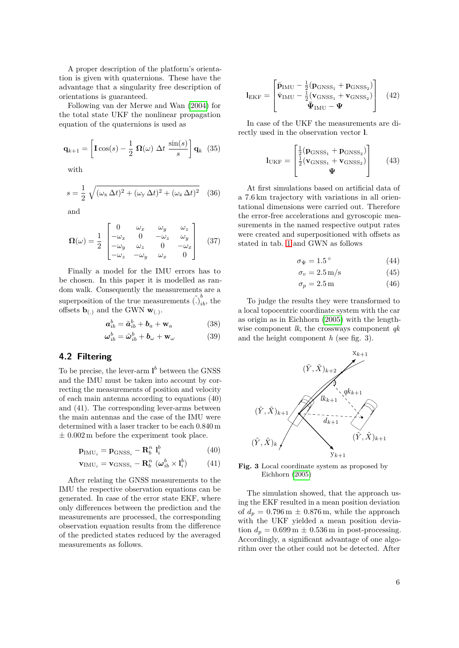A proper description of the platform's orientation is given with quaternions. These have the advantage that a singularity free description of orientations is guaranteed.

Following van der Merwe and Wan [\(2004\)](#page-8-6) for the total state UKF the nonlinear propagation equation of the quaternions is used as

$$
\mathbf{q}_{k+1} = \left[ \mathbf{I} \cos(s) - \frac{1}{2} \; \mathbf{\Omega}(\omega) \; \Delta t \; \frac{\sin(s)}{s} \right] \mathbf{q}_k \tag{35}
$$

with

$$
s = \frac{1}{2} \sqrt{(\omega_x \Delta t)^2 + (\omega_y \Delta t)^2 + (\omega_z \Delta t)^2}
$$
 (36)

and

$$
\Omega(\omega) = \frac{1}{2} \begin{bmatrix} 0 & \omega_x & \omega_y & \omega_z \\ -\omega_x & 0 & -\omega_z & \omega_y \\ -\omega_y & \omega_z & 0 & -\omega_x \\ -\omega_z & -\omega_y & \omega_x & 0 \end{bmatrix}
$$
 (37)

Finally a model for the IMU errors has to be chosen. In this paper it is modelled as random walk. Consequently the measurements are a superposition of the true measurements  $\tilde{(.)}_{ib}^b$ , the offsets  $\mathbf{b}_{(.)}$  and the GWN  $\mathbf{w}_{(.)}$ .

$$
\boldsymbol{a}_{ib}^b = \tilde{\boldsymbol{a}}_{ib}^b + \boldsymbol{b}_a + \mathbf{w}_a \tag{38}
$$

$$
\boldsymbol{\omega}_{ib}^b = \tilde{\boldsymbol{\omega}}_{ib}^b + \boldsymbol{b}_{\omega} + \mathbf{w}_{\omega}
$$
 (39)

### **4.2 Filtering**

To be precise, the lever-arm  $\mathbf{l}^b$  between the GNSS and the IMU must be taken into account by correcting the measurements of position and velocity of each main antenna according to equations (40) and (41). The corresponding lever-arms between the main antennas and the case of the IMU were determined with a laser tracker to be each 0.840 m  $\pm$  0.002 m before the experiment took place.

$$
\mathbf{p}_{\text{IMU}_i} = \mathbf{p}_{\text{GNSS}_i} - \mathbf{R}_b^n \ \mathbf{1}_i^b \tag{40}
$$

$$
\mathbf{v}_{\text{IMU}_i} = \mathbf{v}_{\text{GNSS}_i} - \mathbf{R}_b^n \ (\boldsymbol{\omega}_{ib}^b \times \mathbf{I}_i^b)
$$
 (41)

After relating the GNSS measurements to the IMU the respective observation equations can be generated. In case of the error state EKF, where only differences between the prediction and the measurements are processed, the corresponding observation equation results from the difference of the predicted states reduced by the averaged measurements as follows.

$$
\mathbf{l}_{\text{EKF}} = \begin{bmatrix} \bar{\mathbf{p}}_{\text{IMU}} - \frac{1}{2} (\mathbf{p}_{\text{GNSS}_1} + \mathbf{p}_{\text{GNSS}_2}) \\ \bar{\mathbf{v}}_{\text{IMU}} - \frac{1}{2} (\mathbf{v}_{\text{GNSS}_1} + \mathbf{v}_{\text{GNSS}_2}) \\ \bar{\mathbf{\Psi}}_{\text{IMU}} - \mathbf{\Psi} \end{bmatrix} \quad (42)
$$

In case of the UKF the measurements are directly used in the observation vector **l**.

$$
\mathbf{l}_{\text{UKF}} = \begin{bmatrix} \frac{1}{2} (\mathbf{p}_{\text{GNSS}_1} + \mathbf{p}_{\text{GNSS}_2}) \\ \frac{1}{2} (\mathbf{v}_{\text{GNSS}_1} + \mathbf{v}_{\text{GNSS}_2}) \\ \mathbf{\Psi} \end{bmatrix}
$$
(43)

At first simulations based on artificial data of a 7.6 km trajectory with variations in all orientational dimensions were carried out. Therefore the error-free accelerations and gyroscopic measurements in the named respective output rates were created and superpositioned with offsets as stated in tab. [1](#page-4-0) and GWN as follows

$$
\sigma_{\Psi} = 1.5^{\circ} \tag{44}
$$

$$
\sigma_v = 2.5 \,\mathrm{m/s} \tag{45}
$$

$$
\sigma_p = 2.5 \,\mathrm{m} \tag{46}
$$

To judge the results they were transformed to a local topocentric coordinate system with the car as origin as in Eichhorn [\(2005\)](#page-8-12) with the lengthwise component *lk*, the crossways component *qk* and the height component *h* (see fig. 3).



**Fig. 3** Local coordinate system as proposed by Eichhorn [\(2005\)](#page-8-12)

The simulation showed, that the approach using the EKF resulted in a mean position deviation of  $d_p = 0.796 \,\mathrm{m} \pm 0.876 \,\mathrm{m}$ , while the approach with the UKF yielded a mean position deviation  $d_p = 0.699 \,\mathrm{m} \pm 0.536 \,\mathrm{m}$  in post-processing. Accordingly, a significant advantage of one algorithm over the other could not be detected. After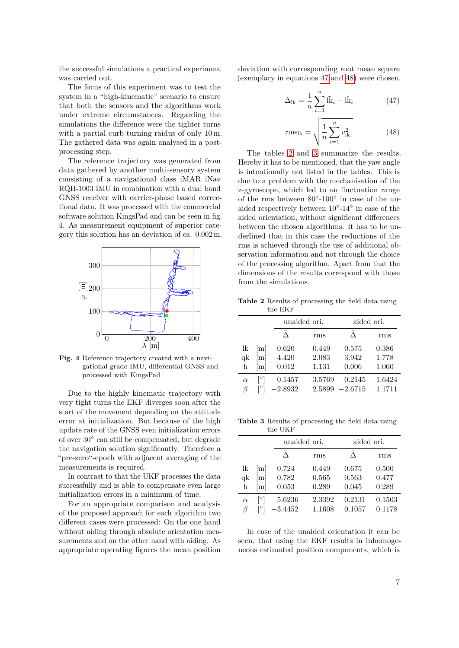the successful simulations a practical experiment was carried out.

The focus of this experiment was to test the system in a "high-kinematic" scenario to ensure that both the sensors and the algorithms work under extreme circumstances. Regarding the simulations the difference were the tighter turns with a partial curb turning raidus of only 10 m. The gathered data was again analysed in a postprocessing step.

The reference trajectory was generated from data gathered by another multi-sensory system consisting of a navigational class iMAR iNav RQH-1003 IMU in combination with a dual band GNSS receiver with carrier-phase based correctional data. It was processed with the commercial software solution KingsPad and can be seen in fig. 4. As measurement equipment of superior category this solution has an deviation of ca. 0.002 m.



**Fig. 4** Reference trajectory created with a navigational grade IMU, differential GNSS and processed with KingsPad

Due to the highly kinematic trajectory with very tight turns the EKF diverges soon after the start of the movement depending on the attitude error at initialization. But because of the high update rate of the GNSS even initialization errors of over 30◦ can still be compensated, but degrade the navigation solution significantly. Therefore a "pre-zero"-epoch with adjacent averaging of the measurements is required.

In contrast to that the UKF processes the data successfully and is able to compensate even large initialization errors in a minimum of time.

For an appropriate comparison and analysis of the proposed approach for each algorithm two different cases were processed: On the one hand without aiding through absolute orientation measurements and on the other hand with aiding. As appropriate operating figures the mean position

deviation with corresponding root mean square (exemplary in equations [47](#page-6-0) and [48\)](#page-6-1) were chosen.

<span id="page-6-0"></span>
$$
\bar{\Delta}_{1k} = \frac{1}{n} \sum_{i=1}^{n} \tilde{lk}_i - \hat{lk}_i
$$
 (47)

<span id="page-6-1"></span>
$$
rms_{lk} = \sqrt{\frac{1}{n} \sum_{i=1}^{n} v_{lk_i}^2}
$$
 (48)

The tables [2](#page-6-2) and [3](#page-6-3) summarize the results. Hereby it has to be mentioned, that the yaw angle is intentionally not listed in the tables. This is due to a problem with the mechanisation of the z-gyroscope, which led to an fluctuation range of the rms between  $80^{\circ}$ -100 $^{\circ}$  in case of the unaided respectively between 10◦ -14◦ in case of the aided orientation, without significant differences between the chosen algorithms. It has to be underlined that in this case the reductions of the rms is achieved through the use of additional observation information and not through the choice of the processing algorithm. Apart from that the dimensions of the results correspond with those from the simulations.

<span id="page-6-2"></span>**Table 2** Results of processing the field data using the EKF

|          |     |           | unaided ori. |           | aided ori. |  |
|----------|-----|-----------|--------------|-----------|------------|--|
|          |     |           | rms          |           | rms        |  |
| lk       | m   | 0.620     | 0.449        | 0.575     | 0.386      |  |
| qk       | [m] | 4.420     | 2.083        | 3.942     | 1.778      |  |
| h        | m   | 0.012     | 1.131        | 0.006     | 1.060      |  |
| $\alpha$ | [0] | 0.1457    | 3.5769       | 0.2145    | 1.6424     |  |
| B        |     | $-2.8932$ | 2.5899       | $-2.6715$ | 1.1711     |  |

<span id="page-6-3"></span>**Table 3** Results of processing the field data using the UKF

|          |                   |           | unaided ori. |        | aided ori. |  |
|----------|-------------------|-----------|--------------|--------|------------|--|
|          |                   |           | rms          |        | rms        |  |
| lk       | [m]               | 0.724     | 0.449        | 0.675  | 0.500      |  |
| qk       | [m]               | 0.782     | 0.565        | 0.563  | 0.477      |  |
| h        | $\lceil m \rceil$ | 0.053     | 0.289        | 0.045  | 0.289      |  |
| $\alpha$ | $\circ$           | $-5.6236$ | 2.3392       | 0.2131 | 0.1503     |  |
| ß        |                   | $-3.4452$ | 1.1608       | 0.1057 | 0.1178     |  |

In case of the unaided orientation it can be seen, that using the EKF results in inhomogeneous estimated position components, which is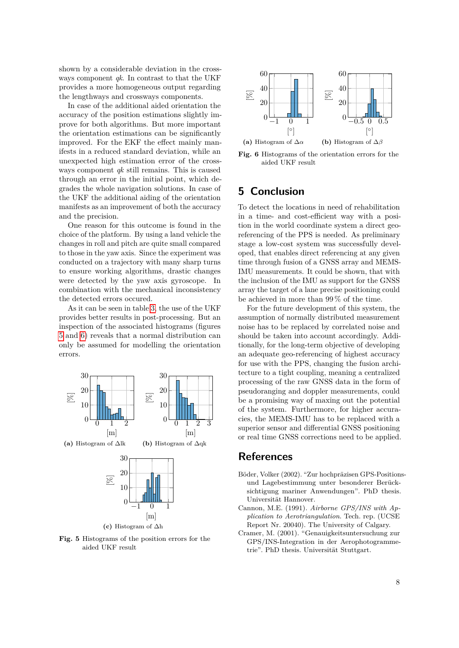shown by a considerable deviation in the crossways component *qk*. In contrast to that the UKF provides a more homogeneous output regarding the lengthways and crossways components.

In case of the additional aided orientation the accuracy of the position estimations slightly improve for both algorithms. But more important the orientation estimations can be significantly improved. For the EKF the effect mainly manifests in a reduced standard deviation, while an unexpected high estimation error of the crossways component *qk* still remains. This is caused through an error in the initial point, which degrades the whole navigation solutions. In case of the UKF the additional aiding of the orientation manifests as an improvement of both the accuracy and the precision.

One reason for this outcome is found in the choice of the platform. By using a land vehicle the changes in roll and pitch are quite small compared to those in the yaw axis. Since the experiment was conducted on a trajectory with many sharp turns to ensure working algorithms, drastic changes were detected by the yaw axis gyroscope. In combination with the mechanical inconsistency the detected errors occured.

As it can be seen in table [3,](#page-6-3) the use of the UKF provides better results in post-processing. But an inspection of the associated histograms (figures [5](#page-7-3) and [6\)](#page-7-4) reveals that a normal distribution can only be assumed for modelling the orientation errors.

<span id="page-7-3"></span>

**(c)** Histogram of ∆h

**Fig. 5** Histograms of the position errors for the aided UKF result

<span id="page-7-4"></span>

**Fig. 6** Histograms of the orientation errors for the aided UKF result

# **5 Conclusion**

To detect the locations in need of rehabilitation in a time- and cost-efficient way with a position in the world coordinate system a direct georeferencing of the PPS is needed. As preliminary stage a low-cost system was successfully developed, that enables direct referencing at any given time through fusion of a GNSS array and MEMS-IMU measurements. It could be shown, that with the inclusion of the IMU as support for the GNSS array the target of a lane precise positioning could be achieved in more than 99 % of the time.

For the future development of this system, the assumption of normally distributed measurement noise has to be replaced by correlated noise and should be taken into account accordingly. Additionally, for the long-term objective of developing an adequate geo-referencing of highest accuracy for use with the PPS, changing the fusion architecture to a tight coupling, meaning a centralized processing of the raw GNSS data in the form of pseudoranging and doppler measurements, could be a promising way of maxing out the potential of the system. Furthermore, for higher accuracies, the MEMS-IMU has to be replaced with a superior sensor and differential GNSS positioning or real time GNSS corrections need to be applied.

### **References**

- <span id="page-7-2"></span>Böder, Volker (2002). "Zur hochpräzisen GPS-Positionsund Lagebestimmung unter besonderer Berücksichtigung mariner Anwendungen". PhD thesis. Universität Hannover.
- <span id="page-7-0"></span>Cannon, M.E. (1991). *Airborne GPS/INS with Application to Aerotriangulation*. Tech. rep. (UCSE Report Nr. 20040). The University of Calgary.
- <span id="page-7-1"></span>Cramer, M. (2001). "Genauigkeitsuntersuchung zur GPS/INS-Integration in der Aerophotogrammetrie". PhD thesis. Universität Stuttgart.